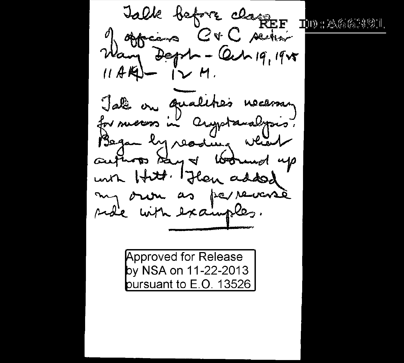Talk before class  $\P$ ii) : A663991 of observes C+C section Wany Dept - Cah 19, 1905 11 AKV - IV M. Jale on qualities necessary for success in anywherealysis. Began by reading which authors say of Woolmed up un Hitt. Flan added my oron as parreverse side with examples.

**Approved for Release** by NSA on 11-22-2013 pursuant to E.O. 13526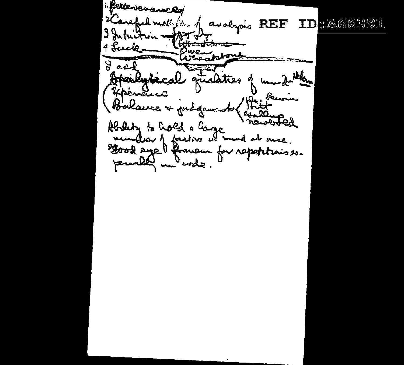1. Perse verawcod 2 Careful methods. of avalyois REF ID ABBOSS 3 Intuition w متعدست تنتت 4 Luck. appone  $9a$ ialities vaden Fisculaca <u>Rew</u> Balaire tut g سمرب ٥ń صده darung<br>newboled Alalety to hold a large we mund at once. محترمه Sood eye formeur for report ۔مومن pourally inderede.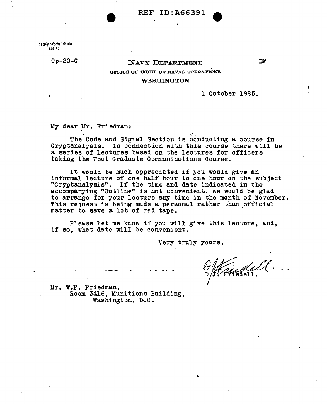REF ID:A66391

In reply refer to lnltlals and No.

Op-20-G

# NAVY DEPARTMENT

EF

I

### OFFICE OF CHIEF OF NAVAL OPERATIONS

#### WASHINGTON

1 October 1925.

My dear Mr. Friedman:

The Code and Signal Section is conducting a course in Cryptanalysis. In connection with this course there will be a series of lectures based on the lectures for officers taking the Post Graduate Communications Course.

It would be much appreciated if you would give an informal lecture of one half hour to one hour on the subject "Cryptanalysis". If the time and date indicated in the accompanying "Outline" is not convenient, we would be glad to arrange for your lecture any time in the month of November. This request is being made a personal rather than official matter to save a lot of red tape.

Please let me know if you will give this lecture, and, if so, what date will be convenient.

Very truly yours,

Mr. W.F. Friedman, Room 3416, Munitions Building, Washington, D.C.